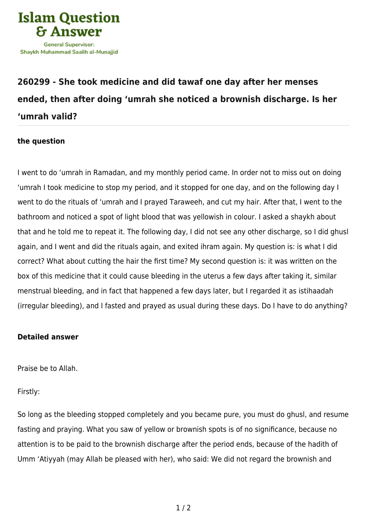

## **[260299 - She took medicine and did tawaf one day after her menses](https://islamqa.info/en/answers/260299/she-took-medicine-and-did-tawaf-one-day-after-her-menses-ended-then-after-doing-umrah-she-noticed-a-brownish-discharge-is-her-umrah-valid) [ended, then after doing 'umrah she noticed a brownish discharge. Is her](https://islamqa.info/en/answers/260299/she-took-medicine-and-did-tawaf-one-day-after-her-menses-ended-then-after-doing-umrah-she-noticed-a-brownish-discharge-is-her-umrah-valid) ['umrah valid?](https://islamqa.info/en/answers/260299/she-took-medicine-and-did-tawaf-one-day-after-her-menses-ended-then-after-doing-umrah-she-noticed-a-brownish-discharge-is-her-umrah-valid)**

## **the question**

I went to do 'umrah in Ramadan, and my monthly period came. In order not to miss out on doing 'umrah I took medicine to stop my period, and it stopped for one day, and on the following day I went to do the rituals of 'umrah and I prayed Taraweeh, and cut my hair. After that, I went to the bathroom and noticed a spot of light blood that was yellowish in colour. I asked a shaykh about that and he told me to repeat it. The following day, I did not see any other discharge, so I did ghusl again, and I went and did the rituals again, and exited ihram again. My question is: is what I did correct? What about cutting the hair the first time? My second question is: it was written on the box of this medicine that it could cause bleeding in the uterus a few days after taking it, similar menstrual bleeding, and in fact that happened a few days later, but I regarded it as istihaadah (irregular bleeding), and I fasted and prayed as usual during these days. Do I have to do anything?

## **Detailed answer**

Praise be to Allah.

Firstly:

So long as the bleeding stopped completely and you became pure, you must do ghusl, and resume fasting and praying. What you saw of yellow or brownish spots is of no significance, because no attention is to be paid to the brownish discharge after the period ends, because of the hadith of Umm 'Atiyyah (may Allah be pleased with her), who said: We did not regard the brownish and